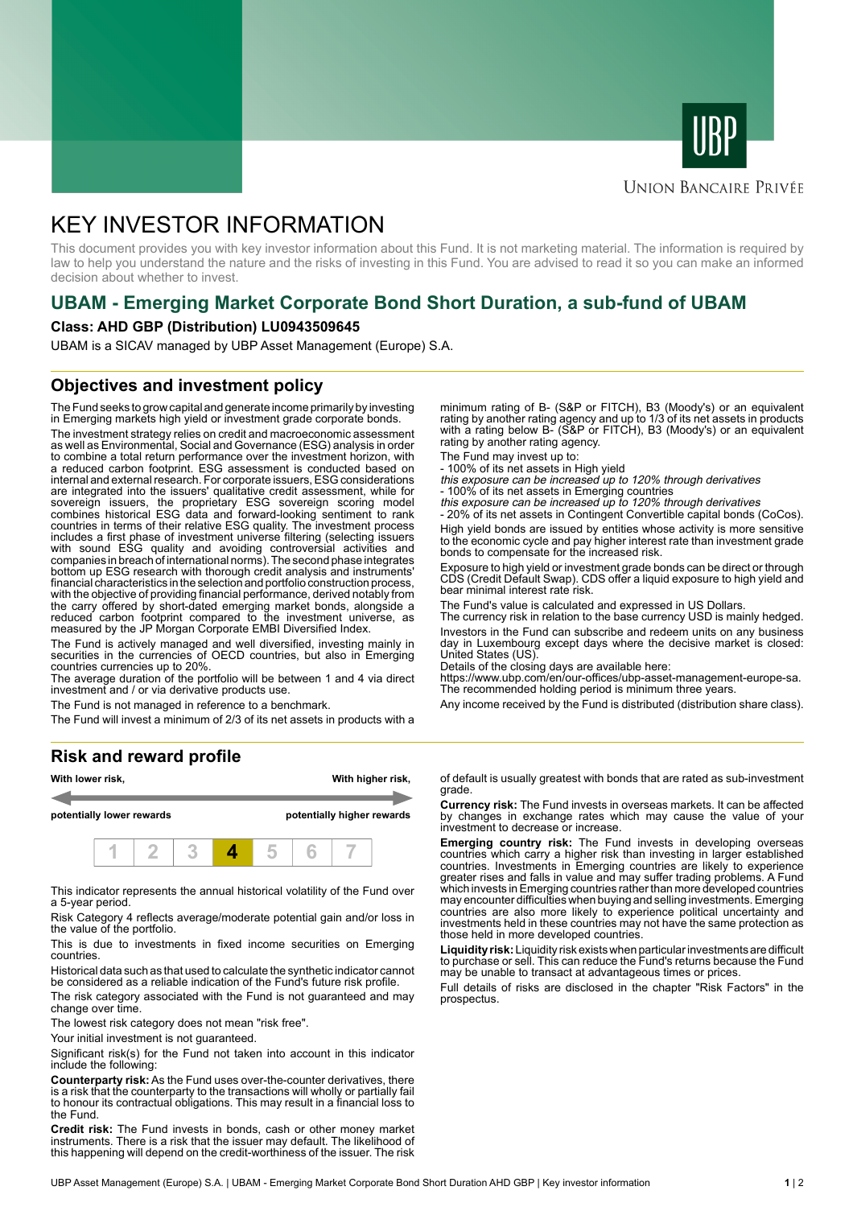



#### **UNION BANCAIRE PRIVÉE**

# KEY INVESTOR INFORMATION

This document provides you with key investor information about this Fund. It is not marketing material. The information is required by law to help you understand the nature and the risks of investing in this Fund. You are advised to read it so you can make an informed decision about whether to invest.

# **UBAM - Emerging Market Corporate Bond Short Duration, a sub-fund of UBAM**

#### **Class: AHD GBP (Distribution) LU0943509645**

UBAM is a SICAV managed by UBP Asset Management (Europe) S.A.

### **Objectives and investment policy**

The Fund seeks to grow capital and generate income primarily by investing in Emerging markets high yield or investment grade corporate bonds.

The investment strategy relies on credit and macroeconomic assessment as well as Environmental, Social and Governance (ESG) analysis in order to combine a total return performance over the investment horizon, with a reduced carbon footprint. ESG assessment is conducted based on internal and external research. For corporate issuers, ESG considerations are integrated into the issuers' qualitative credit assessment, while for sovereign issuers, the proprietary ESG sovereign scoring model combines historical ESG data and forward-looking sentiment to rank countries in terms of their relative ESG quality. The investment process includes a first phase of investment universe filtering (selecting issuers with sound ESG quality and avoiding controversial activities and companies in breach of international norms). The second phase integrates bottom up ESG research with thorough credit analysis and instruments' financial characteristics in the selection and portfolio construction process, with the objective of providing financial performance, derived notably from the carry offered by short-dated emerging market bonds, alongside a reduced carbon footprint compared to the investment universe, as measured by the JP Morgan Corporate EMBI Diversified Index.

The Fund is actively managed and well diversified, investing mainly in securities in the currencies of OECD countries, but also in Emerging countries currencies up to 20%.

The average duration of the portfolio will be between 1 and 4 via direct investment and / or via derivative products use.

The Fund is not managed in reference to a benchmark.

The Fund will invest a minimum of 2/3 of its net assets in products with a

#### **Risk and reward profile**



This indicator represents the annual historical volatility of the Fund over a 5-year period.

Risk Category 4 reflects average/moderate potential gain and/or loss in the value of the portfolio.

This is due to investments in fixed income securities on Emerging countries.

Historical data such as that used to calculate the synthetic indicator cannot be considered as a reliable indication of the Fund's future risk profile.

The risk category associated with the Fund is not guaranteed and may change over time.

The lowest risk category does not mean "risk free".

Your initial investment is not guaranteed.

Significant risk(s) for the Fund not taken into account in this indicator include the following:

**Counterparty risk:** As the Fund uses over-the-counter derivatives, there is a risk that the counterparty to the transactions will wholly or partially fail to honour its contractual obligations. This may result in a financial loss to the Fund.

**Credit risk:** The Fund invests in bonds, cash or other money market instruments. There is a risk that the issuer may default. The likelihood of this happening will depend on the credit-worthiness of the issuer. The risk

minimum rating of B- (S&P or FITCH), B3 (Moody's) or an equivalent rating by another rating agency and up to 1/3 of its net assets in products with a rating below B- (S&P or FITCH), B3 (Moody's) or an equivalent rating by another rating agency.

The Fund may invest up to:

- 100% of its net assets in High yield this exposure can be increased up to 120% through derivatives

- 100% of its net assets in Emerging countries<br>*this exposure can be increased up to 120% through derivatives*<br>- 20% of its net assets in Contingent Convertible capital bonds (CoCos).

High yield bonds are issued by entities whose activity is more sensitive to the economic cycle and pay higher interest rate than investment grade bonds to compensate for the increased risk.

Exposure to high yield or investment grade bonds can be direct or through CDS (Credit Default Swap). CDS offer a liquid exposure to high yield and bear minimal interest rate risk.

The Fund's value is calculated and expressed in US Dollars.

The currency risk in relation to the base currency USD is mainly hedged. Investors in the Fund can subscribe and redeem units on any business day in Luxembourg except days where the decisive market is closed: United States (US).

Details of the closing days are available here:

https://www.ubp.com/en/our-offices/ubp-asset-management-europe-sa. The recommended holding period is minimum three years.

Any income received by the Fund is distributed (distribution share class).

of default is usually greatest with bonds that are rated as sub-investment grade.

**Currency risk:** The Fund invests in overseas markets. It can be affected by changes in exchange rates which may cause the value of your investment to decrease or increase.

**Emerging country risk:** The Fund invests in developing overseas countries which carry a higher risk than investing in larger established countries. Investments in Emerging countries are likely to experience greater rises and falls in value and may suffer trading problems. A Fund which invests in Emerging countries rather than more developed countries may encounter difficulties when buying and selling investments. Emerging countries are also more likely to experience political uncertainty and investments held in these countries may not have the same protection as those held in more developed countries.

**Liquidity risk:** Liquidity risk exists when particular investments are difficult to purchase or sell. This can reduce the Fund's returns because the Fund may be unable to transact at advantageous times or prices.

Full details of risks are disclosed in the chapter "Risk Factors" in the prospectus.